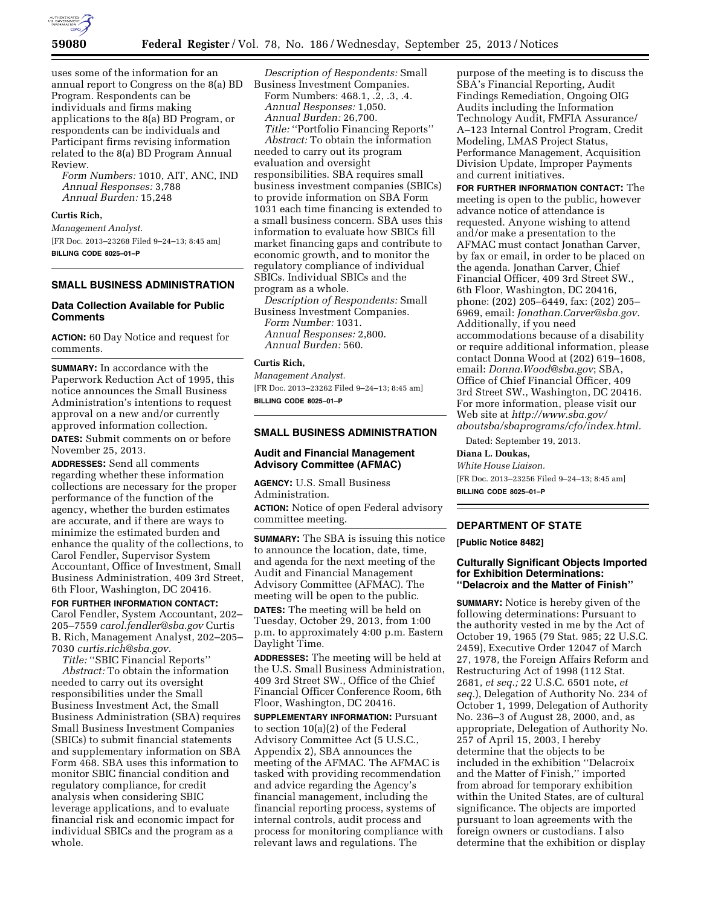

uses some of the information for an annual report to Congress on the 8(a) BD Program. Respondents can be individuals and firms making applications to the 8(a) BD Program, or respondents can be individuals and Participant firms revising information related to the 8(a) BD Program Annual Review.

*Form Numbers:* 1010, AIT, ANC, IND *Annual Responses:* 3,788 *Annual Burden:* 15,248

#### **Curtis Rich,**

*Management Analyst.*  [FR Doc. 2013–23268 Filed 9–24–13; 8:45 am] **BILLING CODE 8025–01–P** 

### **SMALL BUSINESS ADMINISTRATION**

### **Data Collection Available for Public Comments**

**ACTION:** 60 Day Notice and request for comments.

**SUMMARY:** In accordance with the Paperwork Reduction Act of 1995, this notice announces the Small Business Administration's intentions to request approval on a new and/or currently approved information collection.

**DATES:** Submit comments on or before November 25, 2013.

**ADDRESSES:** Send all comments regarding whether these information collections are necessary for the proper performance of the function of the agency, whether the burden estimates are accurate, and if there are ways to minimize the estimated burden and enhance the quality of the collections, to Carol Fendler, Supervisor System Accountant, Office of Investment, Small Business Administration, 409 3rd Street, 6th Floor, Washington, DC 20416.

**FOR FURTHER INFORMATION CONTACT:**  Carol Fendler, System Accountant, 202– 205–7559 *[carol.fendler@sba.gov](mailto:carol.fendler@sba.gov)* Curtis B. Rich, Management Analyst, 202–205– 7030 *[curtis.rich@sba.gov.](mailto:curtis.rich@sba.gov)* 

*Title:* ''SBIC Financial Reports'' *Abstract:* To obtain the information needed to carry out its oversight responsibilities under the Small Business Investment Act, the Small Business Administration (SBA) requires Small Business Investment Companies (SBICs) to submit financial statements and supplementary information on SBA Form 468. SBA uses this information to monitor SBIC financial condition and regulatory compliance, for credit analysis when considering SBIC leverage applications, and to evaluate financial risk and economic impact for individual SBICs and the program as a whole.

*Description of Respondents:* Small Business Investment Companies. Form Numbers: 468.1, .2, .3, .4. *Annual Responses:* 1,050. *Annual Burden:* 26,700. *Title:* ''Portfolio Financing Reports'' *Abstract:* To obtain the information needed to carry out its program evaluation and oversight responsibilities. SBA requires small business investment companies (SBICs) to provide information on SBA Form 1031 each time financing is extended to a small business concern. SBA uses this information to evaluate how SBICs fill market financing gaps and contribute to economic growth, and to monitor the regulatory compliance of individual SBICs. Individual SBICs and the program as a whole.

*Description of Respondents:* Small Business Investment Companies. *Form Number:* 1031. *Annual Responses:* 2,800. *Annual Burden:* 560.

#### **Curtis Rich,**

*Management Analyst.*  [FR Doc. 2013–23262 Filed 9–24–13; 8:45 am] **BILLING CODE 8025–01–P** 

### **SMALL BUSINESS ADMINISTRATION**

# **Audit and Financial Management Advisory Committee (AFMAC)**

**AGENCY:** U.S. Small Business Administration. **ACTION:** Notice of open Federal advisory committee meeting.

**SUMMARY:** The SBA is issuing this notice to announce the location, date, time, and agenda for the next meeting of the Audit and Financial Management Advisory Committee (AFMAC). The meeting will be open to the public.

**DATES:** The meeting will be held on Tuesday, October 29, 2013, from 1:00 p.m. to approximately 4:00 p.m. Eastern Daylight Time.

**ADDRESSES:** The meeting will be held at the U.S. Small Business Administration, 409 3rd Street SW., Office of the Chief Financial Officer Conference Room, 6th Floor, Washington, DC 20416.

**SUPPLEMENTARY INFORMATION:** Pursuant to section 10(a)(2) of the Federal Advisory Committee Act (5 U.S.C., Appendix 2), SBA announces the meeting of the AFMAC. The AFMAC is tasked with providing recommendation and advice regarding the Agency's financial management, including the financial reporting process, systems of internal controls, audit process and process for monitoring compliance with relevant laws and regulations. The

purpose of the meeting is to discuss the SBA's Financial Reporting, Audit Findings Remediation, Ongoing OIG Audits including the Information Technology Audit, FMFIA Assurance/ A–123 Internal Control Program, Credit Modeling, LMAS Project Status, Performance Management, Acquisition Division Update, Improper Payments and current initiatives.

**FOR FURTHER INFORMATION CONTACT:** The meeting is open to the public, however advance notice of attendance is requested. Anyone wishing to attend and/or make a presentation to the AFMAC must contact Jonathan Carver, by fax or email, in order to be placed on the agenda. Jonathan Carver, Chief Financial Officer, 409 3rd Street SW., 6th Floor, Washington, DC 20416, phone: (202) 205–6449, fax: (202) 205– 6969, email: *[Jonathan.Carver@sba.gov.](mailto:Jonathan.Carver@sba.gov)*  Additionally, if you need accommodations because of a disability or require additional information, please contact Donna Wood at (202) 619–1608, email: *[Donna.Wood@sba.gov](mailto:Donna.Wood@sba.gov)*; SBA, Office of Chief Financial Officer, 409 3rd Street SW., Washington, DC 20416. For more information, please visit our Web site at *[http://www.sba.gov/](http://www.sba.gov/aboutsba/sbaprograms/cfo/index.html) [aboutsba/sbaprograms/cfo/index.html.](http://www.sba.gov/aboutsba/sbaprograms/cfo/index.html)* 

Dated: September 19, 2013.

## **Diana L. Doukas,**

*White House Liaison.*  [FR Doc. 2013–23256 Filed 9–24–13; 8:45 am] **BILLING CODE 8025–01–P** 

## **DEPARTMENT OF STATE**

**[Public Notice 8482]** 

#### **Culturally Significant Objects Imported for Exhibition Determinations: ''Delacroix and the Matter of Finish''**

**SUMMARY:** Notice is hereby given of the following determinations: Pursuant to the authority vested in me by the Act of October 19, 1965 (79 Stat. 985; 22 U.S.C. 2459), Executive Order 12047 of March 27, 1978, the Foreign Affairs Reform and Restructuring Act of 1998 (112 Stat. 2681, *et seq.;* 22 U.S.C. 6501 note, *et seq.*), Delegation of Authority No. 234 of October 1, 1999, Delegation of Authority No. 236–3 of August 28, 2000, and, as appropriate, Delegation of Authority No. 257 of April 15, 2003, I hereby determine that the objects to be included in the exhibition ''Delacroix and the Matter of Finish,'' imported from abroad for temporary exhibition within the United States, are of cultural significance. The objects are imported pursuant to loan agreements with the foreign owners or custodians. I also determine that the exhibition or display